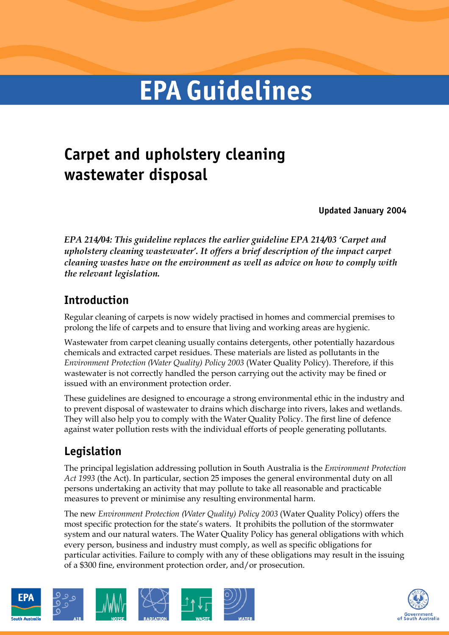# **EPA Guidelines**

# **Carpet and upholstery cleaning wastewater disposal**

**Updated January 2004** 

*EPA 214/04: This guideline replaces the earlier guideline EPA 214/03 'Carpet and upholstery cleaning wastewater'. It offers a brief description of the impact carpet cleaning wastes have on the environment as well as advice on how to comply with the relevant legislation.* 

# **Introduction**

Regular cleaning of carpets is now widely practised in homes and commercial premises to prolong the life of carpets and to ensure that living and working areas are hygienic.

Wastewater from carpet cleaning usually contains detergents, other potentially hazardous chemicals and extracted carpet residues. These materials are listed as pollutants in the *Environment Protection (Water Quality) Policy 2003* (Water Quality Policy). Therefore, if this wastewater is not correctly handled the person carrying out the activity may be fined or issued with an environment protection order.

These guidelines are designed to encourage a strong environmental ethic in the industry and to prevent disposal of wastewater to drains which discharge into rivers, lakes and wetlands. They will also help you to comply with the Water Quality Policy. The first line of defence against water pollution rests with the individual efforts of people generating pollutants.

# **Legislation**

The principal legislation addressing pollution in South Australia is the *Environment Protection Act 1993* (the Act). In particular, section 25 imposes the general environmental duty on all persons undertaking an activity that may pollute to take all reasonable and practicable measures to prevent or minimise any resulting environmental harm.

The new *Environment Protection (Water Quality) Policy 2003* (Water Quality Policy) offers the most specific protection for the state's waters. It prohibits the pollution of the stormwater system and our natural waters. The Water Quality Policy has general obligations with which every person, business and industry must comply, as well as specific obligations for particular activities. Failure to comply with any of these obligations may result in the issuing of a \$300 fine, environment protection order, and/or prosecution.



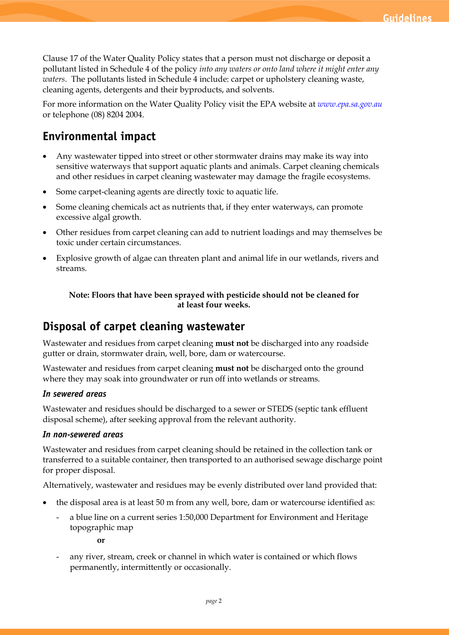Clause 17 of the Water Quality Policy states that a person must not discharge or deposit a pollutant listed in Schedule 4 of the policy *into any waters or onto land where it might enter any waters*. The pollutants listed in Schedule 4 include: carpet or upholstery cleaning waste, cleaning agents, detergents and their byproducts, and solvents.

For more information on the Water Quality Policy visit the EPA website at *[www.epa.sa.gov.au](http://www.epa.sa.gov.au)*  or telephone (08) 8204 2004.

# **Environmental impact**

- · Any wastewater tipped into street or other stormwater drains may make its way into sensitive waterways that support aquatic plants and animals. Carpet cleaning chemicals and other residues in carpet cleaning wastewater may damage the fragile ecosystems.
- · Some carpet-cleaning agents are directly toxic to aquatic life.
- · Some cleaning chemicals act as nutrients that, if they enter waterways, can promote excessive algal growth.
- · Other residues from carpet cleaning can add to nutrient loadings and may themselves be toxic under certain circumstances.
- · Explosive growth of algae can threaten plant and animal life in our wetlands, rivers and streams.

**Note: Floors that have been sprayed with pesticide should not be cleaned for at least four weeks.** 

# **Disposal of carpet cleaning wastewater**

Wastewater and residues from carpet cleaning **must not** be discharged into any roadside gutter or drain, stormwater drain, well, bore, dam or watercourse.

Wastewater and residues from carpet cleaning **must not** be discharged onto the ground where they may soak into groundwater or run off into wetlands or streams.

#### *In sewered areas*

Wastewater and residues should be discharged to a sewer or STEDS (septic tank effluent disposal scheme), after seeking approval from the relevant authority.

#### *In non-sewered areas*

Wastewater and residues from carpet cleaning should be retained in the collection tank or transferred to a suitable container, then transported to an authorised sewage discharge point for proper disposal.

Alternatively, wastewater and residues may be evenly distributed over land provided that:

- · the disposal area is at least 50 m from any well, bore, dam or watercourse identified as:
	- a blue line on a current series 1:50,000 Department for Environment and Heritage topographic map

**or** 

any river, stream, creek or channel in which water is contained or which flows permanently, intermittently or occasionally.